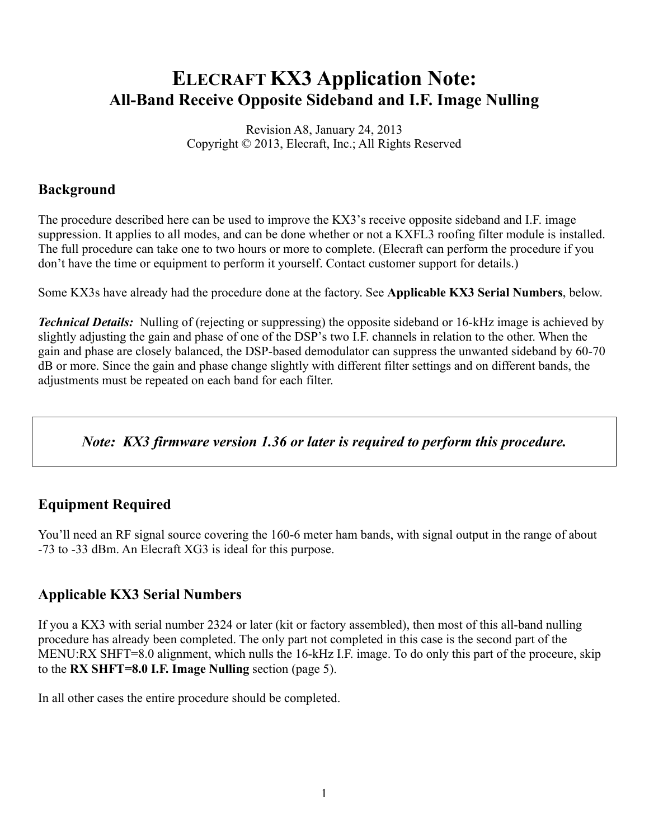# ELECRAFT KX3 Application Note: All-Band Receive Opposite Sideband and I.F. Image Nulling

Revision A8, January 24, 2013 Copyright © 2013, Elecraft, Inc.; All Rights Reserved

## Background

The procedure described here can be used to improve the KX3's receive opposite sideband and I.F. image suppression. It applies to all modes, and can be done whether or not a KXFL3 roofing filter module is installed. The full procedure can take one to two hours or more to complete. (Elecraft can perform the procedure if you don't have the time or equipment to perform it yourself. Contact customer support for details.)

Some KX3s have already had the procedure done at the factory. See Applicable KX3 Serial Numbers, below.

*Technical Details:* Nulling of (rejecting or suppressing) the opposite sideband or 16-kHz image is achieved by slightly adjusting the gain and phase of one of the DSP's two I.F. channels in relation to the other. When the gain and phase are closely balanced, the DSP-based demodulator can suppress the unwanted sideband by 60-70 dB or more. Since the gain and phase change slightly with different filter settings and on different bands, the adjustments must be repeated on each band for each filter.

*Note: KX3 firmware version 1.36 or later is required to perform this procedure.*

# Equipment Required

You'll need an RF signal source covering the 160-6 meter ham bands, with signal output in the range of about -73 to -33 dBm. An Elecraft XG3 is ideal for this purpose.

## Applicable KX3 Serial Numbers

If you a KX3 with serial number 2324 or later (kit or factory assembled), then most of this all-band nulling procedure has already been completed. The only part not completed in this case is the second part of the MENU:RX SHFT=8.0 alignment, which nulls the 16-kHz I.F. image. To do only this part of the proceure, skip to the RX SHFT=8.0 I.F. Image Nulling section (page 5).

In all other cases the entire procedure should be completed.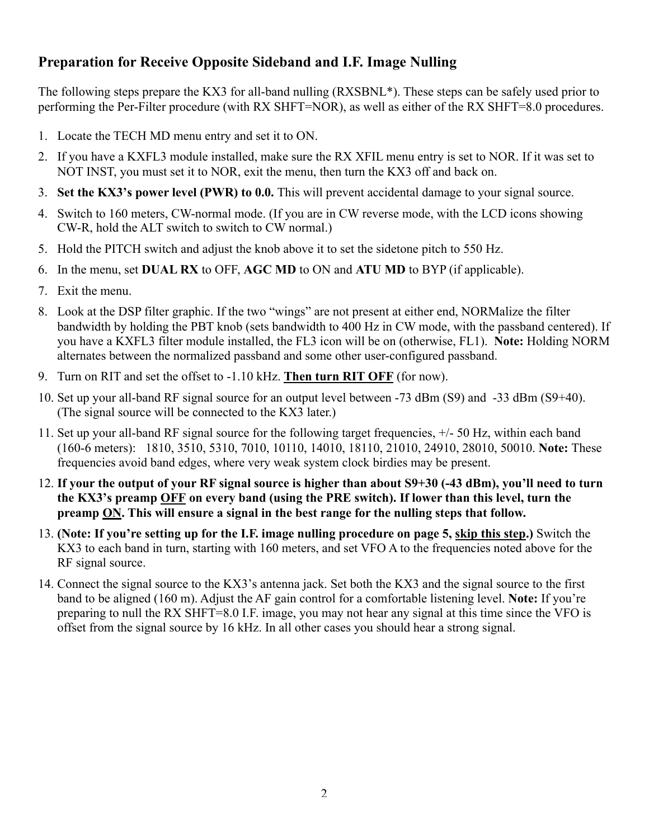## Preparation for Receive Opposite Sideband and I.F. Image Nulling

The following steps prepare the KX3 for all-band nulling (RXSBNL\*). These steps can be safely used prior to performing the Per-Filter procedure (with RX SHFT=NOR), as well as either of the RX SHFT=8.0 procedures.

- 1. Locate the TECH MD menu entry and set it to ON.
- 2. If you have a KXFL3 module installed, make sure the RX XFIL menu entry is set to NOR. If it was set to NOT INST, you must set it to NOR, exit the menu, then turn the KX3 off and back on.
- 3. Set the KX3's power level (PWR) to 0.0. This will prevent accidental damage to your signal source.
- 4. Switch to 160 meters, CW-normal mode. (If you are in CW reverse mode, with the LCD icons showing CW-R, hold the ALT switch to switch to CW normal.)
- 5. Hold the PITCH switch and adjust the knob above it to set the sidetone pitch to 550 Hz.
- 6. In the menu, set DUAL RX to OFF, AGC MD to ON and ATU MD to BYP (if applicable).
- 7. Exit the menu.
- 8. Look at the DSP filter graphic. If the two "wings" are not present at either end, NORMalize the filter bandwidth by holding the PBT knob (sets bandwidth to 400 Hz in CW mode, with the passband centered). If you have a KXFL3 filter module installed, the FL3 icon will be on (otherwise, FL1). Note: Holding NORM alternates between the normalized passband and some other user-configured passband.
- 9. Turn on RIT and set the offset to -1.10 kHz. Then turn RIT OFF (for now).
- 10. Set up your all-band RF signal source for an output level between -73 dBm (S9) and -33 dBm (S9+40). (The signal source will be connected to the KX3 later.)
- 11. Set up your all-band RF signal source for the following target frequencies, +/- 50 Hz, within each band (160-6 meters): 1810, 3510, 5310, 7010, 10110, 14010, 18110, 21010, 24910, 28010, 50010. Note: These frequencies avoid band edges, where very weak system clock birdies may be present.
- 12. If your the output of your RF signal source is higher than about S9+30 (-43 dBm), you'll need to turn the KX3's preamp OFF on every band (using the PRE switch). If lower than this level, turn the preamp ON. This will ensure a signal in the best range for the nulling steps that follow.
- 13. (Note: If you're setting up for the I.F. image nulling procedure on page 5, skip this step.) Switch the KX3 to each band in turn, starting with 160 meters, and set VFO A to the frequencies noted above for the RF signal source.
- 14. Connect the signal source to the KX3's antenna jack. Set both the KX3 and the signal source to the first band to be aligned (160 m). Adjust the AF gain control for a comfortable listening level. Note: If you're preparing to null the RX SHFT=8.0 I.F. image, you may not hear any signal at this time since the VFO is offset from the signal source by 16 kHz. In all other cases you should hear a strong signal.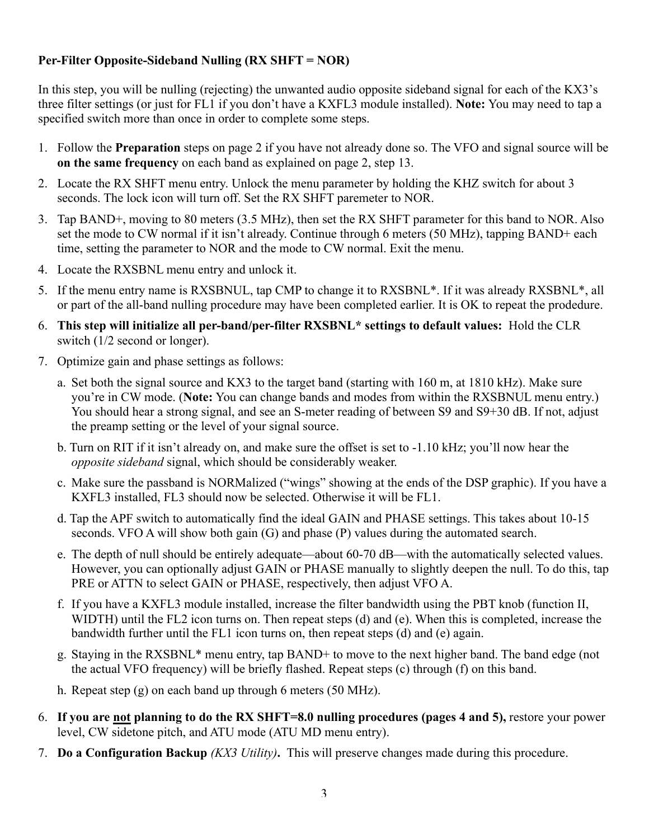## Per-Filter Opposite-Sideband Nulling (RX SHFT = NOR)

In this step, you will be nulling (rejecting) the unwanted audio opposite sideband signal for each of the KX3's three filter settings (or just for FL1 if you don't have a KXFL3 module installed). Note: You may need to tap a specified switch more than once in order to complete some steps.

- 1. Follow the Preparation steps on page 2 if you have not already done so. The VFO and signal source will be on the same frequency on each band as explained on page 2, step 13.
- 2. Locate the RX SHFT menu entry. Unlock the menu parameter by holding the KHZ switch for about 3 seconds. The lock icon will turn off. Set the RX SHFT paremeter to NOR.
- 3. Tap BAND+, moving to 80 meters (3.5 MHz), then set the RX SHFT parameter for this band to NOR. Also set the mode to CW normal if it isn't already. Continue through 6 meters (50 MHz), tapping BAND+ each time, setting the parameter to NOR and the mode to CW normal. Exit the menu.
- 4. Locate the RXSBNL menu entry and unlock it.
- 5. If the menu entry name is RXSBNUL, tap CMP to change it to RXSBNL\*. If it was already RXSBNL\*, all or part of the all-band nulling procedure may have been completed earlier. It is OK to repeat the prodedure.
- 6. This step will initialize all per-band/per-filter RXSBNL\* settings to default values: Hold the CLR switch (1/2 second or longer).
- 7. Optimize gain and phase settings as follows:
	- a. Set both the signal source and KX3 to the target band (starting with 160 m, at 1810 kHz). Make sure you're in CW mode. (Note: You can change bands and modes from within the RXSBNUL menu entry.) You should hear a strong signal, and see an S-meter reading of between S9 and S9+30 dB. If not, adjust the preamp setting or the level of your signal source.
	- b. Turn on RIT if it isn't already on, and make sure the offset is set to -1.10 kHz; you'll now hear the *opposite sideband* signal, which should be considerably weaker.
	- c. Make sure the passband is NORMalized ("wings" showing at the ends of the DSP graphic). If you have a KXFL3 installed, FL3 should now be selected. Otherwise it will be FL1.
	- d. Tap the APF switch to automatically find the ideal GAIN and PHASE settings. This takes about 10-15 seconds. VFO A will show both gain (G) and phase (P) values during the automated search.
	- e. The depth of null should be entirely adequate—about 60-70 dB—with the automatically selected values. However, you can optionally adjust GAIN or PHASE manually to slightly deepen the null. To do this, tap PRE or ATTN to select GAIN or PHASE, respectively, then adjust VFO A.
	- f. If you have a KXFL3 module installed, increase the filter bandwidth using the PBT knob (function II, WIDTH) until the FL2 icon turns on. Then repeat steps (d) and (e). When this is completed, increase the bandwidth further until the FL1 icon turns on, then repeat steps (d) and (e) again.
	- g. Staying in the RXSBNL\* menu entry, tap BAND+ to move to the next higher band. The band edge (not the actual VFO frequency) will be briefly flashed. Repeat steps (c) through (f) on this band.
	- h. Repeat step (g) on each band up through 6 meters (50 MHz).
- 6. If you are not planning to do the RX SHFT=8.0 nulling procedures (pages 4 and 5), restore your power level, CW sidetone pitch, and ATU mode (ATU MD menu entry).
- 7. Do a Configuration Backup *(KX3 Utility)*. This will preserve changes made during this procedure.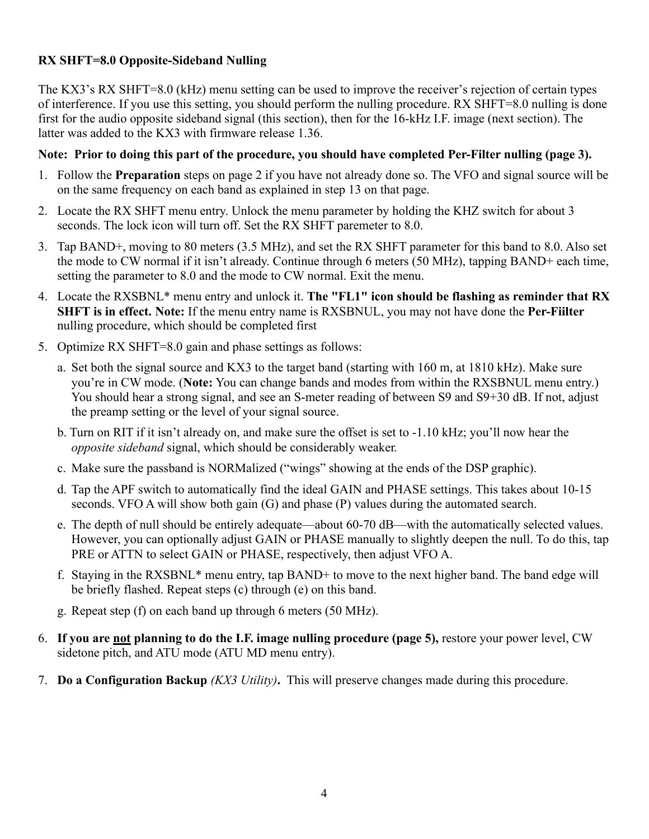### RX SHFT=8.0 Opposite-Sideband Nulling

The KX3's RX SHFT=8.0 (kHz) menu setting can be used to improve the receiver's rejection of certain types of interference. If you use this setting, you should perform the nulling procedure. RX SHFT=8.0 nulling is done first for the audio opposite sideband signal (this section), then for the 16-kHz I.F. image (next section). The latter was added to the KX3 with firmware release 1.36.

#### Note: Prior to doing this part of the procedure, you should have completed Per-Filter nulling (page 3).

- 1. Follow the Preparation steps on page 2 if you have not already done so. The VFO and signal source will be on the same frequency on each band as explained in step 13 on that page.
- 2. Locate the RX SHFT menu entry. Unlock the menu parameter by holding the KHZ switch for about 3 seconds. The lock icon will turn off. Set the RX SHFT paremeter to 8.0.
- 3. Tap BAND+, moving to 80 meters (3.5 MHz), and set the RX SHFT parameter for this band to 8.0. Also set the mode to CW normal if it isn't already. Continue through 6 meters (50 MHz), tapping BAND+ each time, setting the parameter to 8.0 and the mode to CW normal. Exit the menu.
- 4. Locate the RXSBNL\* menu entry and unlock it. The "FL1" icon should be flashing as reminder that RX SHFT is in effect. Note: If the menu entry name is RXSBNUL, you may not have done the Per-Fiilter nulling procedure, which should be completed first
- 5. Optimize RX SHFT=8.0 gain and phase settings as follows:
	- a. Set both the signal source and KX3 to the target band (starting with 160 m, at 1810 kHz). Make sure you're in CW mode. (Note: You can change bands and modes from within the RXSBNUL menu entry.) You should hear a strong signal, and see an S-meter reading of between S9 and S9+30 dB. If not, adjust the preamp setting or the level of your signal source.
	- b. Turn on RIT if it isn't already on, and make sure the offset is set to -1.10 kHz; you'll now hear the *opposite sideband* signal, which should be considerably weaker.
	- c. Make sure the passband is NORMalized ("wings" showing at the ends of the DSP graphic).
	- d. Tap the APF switch to automatically find the ideal GAIN and PHASE settings. This takes about 10-15 seconds. VFO A will show both gain (G) and phase (P) values during the automated search.
	- e. The depth of null should be entirely adequate—about 60-70 dB—with the automatically selected values. However, you can optionally adjust GAIN or PHASE manually to slightly deepen the null. To do this, tap PRE or ATTN to select GAIN or PHASE, respectively, then adjust VFO A.
	- f. Staying in the RXSBNL\* menu entry, tap BAND+ to move to the next higher band. The band edge will be briefly flashed. Repeat steps (c) through (e) on this band.
	- g. Repeat step (f) on each band up through 6 meters (50 MHz).
- 6. If you are not planning to do the I.F. image nulling procedure (page 5), restore your power level, CW sidetone pitch, and ATU mode (ATU MD menu entry).
- 7. Do a Configuration Backup *(KX3 Utility)*. This will preserve changes made during this procedure.